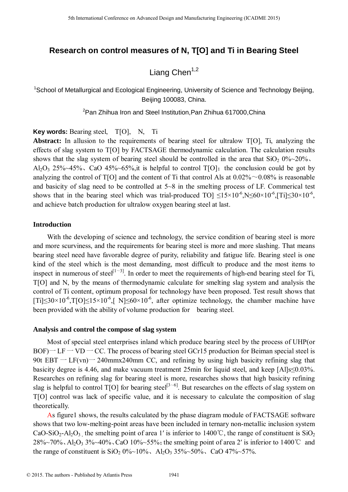# **Research on control measures of N, T[O] and Ti in Bearing Steel**

# Liang Chen $1,2$

<sup>1</sup>School of Metallurgical and Ecological Engineering, University of Science and Technology Beijing, Beijing 100083, China.

<sup>2</sup>Pan Zhihua Iron and Steel Institution, Pan Zhihua 617000, China

**Key words:** Bearing steel, T[O], N, Ti

**Abstract:** In allusion to the requirements of bearing steel for ultralow T[O], Ti, analyzing the effects of slag system to T[O] by FACTSAGE thermodynamic calculation. The calculation results shows that the slag system of bearing steel should be controlled in the area that  $SiO<sub>2</sub> 0\%~20\%$ . Al<sub>2</sub>O<sub>3</sub> 25%~45%, CaO 45%~65%, it is helpful to control T[O]; the conclusion could be got by analyzing the control of  $T[O]$  and the content of Ti that control Als at  $0.02\% \sim 0.08\%$  is reasonable and basicity of slag need to be controlled at 5~8 in the smelting process of LF. Commerical test shows that in the bearing steel which was trial-produced TO]  $\leq 15 \times 10^{-6}$ , N $\leq 60 \times 10^{-6}$ , [Ti] $\leq 30 \times 10^{-6}$ , and achieve batch production for ultralow oxygen bearing steel at last.

### **Introduction**

With the developing of science and technology, the service condition of bearing steel is more and more scurviness, and the requirements for bearing steel is more and more slashing. That means bearing steel need have favorable degree of purity, reliability and fatigue life. Bearing steel is one kind of the steel which is the most demanding, most difficult to produce and the most items to inspect in numerous of steel<sup>[1~3]</sup>. In order to meet the requirements of high-end bearing steel for Ti, T[O] and N, by the means of thermodynamic calculate for smelting slag system and analysis the control of Ti content, optimum proposal for technology have been proposed. Test result shows that [Ti] $\leq 30 \times 10^{-6}$ ,T[O] $\leq 15 \times 10^{-6}$ ,[ N] $\leq 60 \times 10^{-6}$ , after optimize technology, the chamber machine have been provided with the ability of volume production for bearing steel. <sup>516</sup> Learning Conference on Advanced Design and Manufacturing Engineering Conference on Advanced Design and Ecological Engineering (ICAD) and **Ti** in Bearing 32<br>
School of Manufacturial and Ecological Engineering (Intens

#### **Analysis and control the compose of slag system**

Most of special steel enterprises inland which produce bearing steel by the process of UHP(or  $BOF$  – LF – VD – CC. The process of bearing steel GCr15 production for Beiman special steel is 90t EBT  $-$  LF(vn) $-$  240mmx240mm CC, and refining by using high basicity refining slag that basicity degree is 4.46, and make vacuum treatment 25min for liquid steel, and keep [Al]s≤0.03%. Researches on refining slag for bearing steel is more, researches shows that high basicity refining slag is helpful to control T[O] for bearing steel<sup>[3~6]</sup>. But researches on the effects of slag system on T[O] control was lack of specific value, and it is necessary to calculate the composition of slag theoretically.

As figure1 shows, the results calculated by the phase diagram module of FACTSAGE software shows that two low-melting-point areas have been included in ternary non-metallic inclusion system CaO-SiO<sub>2</sub>-Al<sub>2</sub>O<sub>3</sub> the smelting point of area 1' is inferior to 1400°C, the range of constituent is SiO<sub>2</sub>  $28\%~70\%$ , Al<sub>2</sub>O<sub>3</sub> 3\% 40\% CaO 10\% 55\%; the smelting point of area 2' is inferior to 1400 °C and the range of constituent is  $SiO_2 0\%~10\%$ ,  $Al_2O_3 35\%~50\%$ , CaO 47\% -57\%.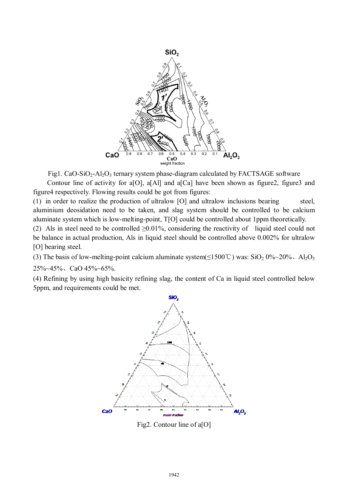

Fig1. CaO-SiO<sub>2</sub>-Al<sub>2</sub>O<sub>3</sub> ternary system phase-diagram calculated by FACTSAGE software Contour line of activity for a[O], a[Al] and a[Ca] have been shown as figure2, figure3 and

figure4 respectively. Flowing results could be got from figures:

(1) in order to realize the production of ultralow  $[O]$  and ultralow inclusions bearing steel, aluminium deosidation need to be taken, and slag system should be controlled to be calcium aluminate system which is low-melting-point, T[O] could be controlled about 1ppm theoretically.

(2) Als in steel need to be controlled  $\geq 0.01\%$ , considering the reactivity of liquid steel could not be balance in actual production, Als in liquid steel should be controlled above 0.002% for ultralow [O] bearing steel.

(3) The basis of low-melting-point calcium aluminate system( $\leq$ 1500°C) was: SiO<sub>2</sub> 0%~20%、Al<sub>2</sub>O<sub>3</sub>

25%~45%、CaO 45%~65%.

(4) Refining by using high basicity refining slag, the content of Ca in liquid steel controlled below 5ppm, and requirements could be met.



Fig2. Contour line of a[O]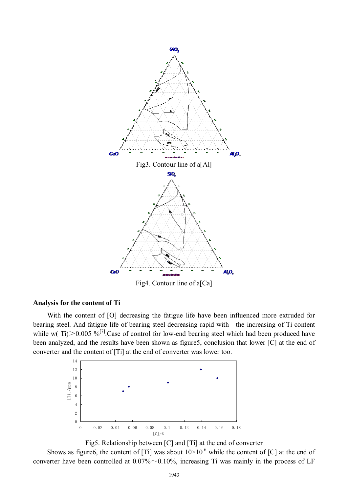

Fig4. Contour line of a[Ca]

#### **Analysis for the content of Ti**

With the content of [O] decreasing the fatigue life have been influenced more extruded for bearing steel. And fatigue life of bearing steel decreasing rapid with the increasing of Ti content while w(Ti) $>0.005$  %<sup>[7]</sup>.Case of control for low-end bearing steel which had been produced have been analyzed, and the results have been shown as figure5, conclusion that lower [C] at the end of converter and the content of [Ti] at the end of converter was lower too.





Shows as figure6, the content of [Ti] was about  $10 \times 10^{-6}$  while the content of [C] at the end of converter have been controlled at  $0.07\% \sim 0.10\%$ , increasing Ti was mainly in the process of LF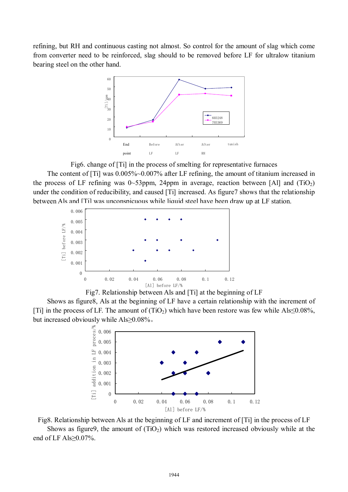refining, but RH and continuous casting not almost. So control for the amount of slag which come from converter need to be reinforced, slag should to be removed before LF for ultralow titanium bearing steel on the other hand.



Fig6. change of [Ti] in the process of smelting for representative furnaces The content of [Ti] was  $0.005\%$ ~0.007% after LF refining, the amount of titanium increased in the process of LF refining was 0~53ppm, 24ppm in average, reaction between [Al] and (TiO<sub>2</sub>) under the condition of reducibility, and caused [Ti] increased. As figure7 shows that the relationship between Als and [Ti] was unconspicuous while liquid steel have been draw up at LF station.



Fig7. Relationship between Als and [Ti] at the beginning of LF

Shows as figure8, Als at the beginning of LF have a certain relationship with the increment of [Ti] in the process of LF. The amount of (TiO<sub>2</sub>) which have been restore was few while Als≤0.08%, but increased obviously while Als≥0.08%。



Fig8. Relationship between Als at the beginning of LF and increment of [Ti] in the process of LF

Shows as figure9, the amount of  $(TiO<sub>2</sub>)$  which was restored increased obviously while at the end of LF Als≥0.07%.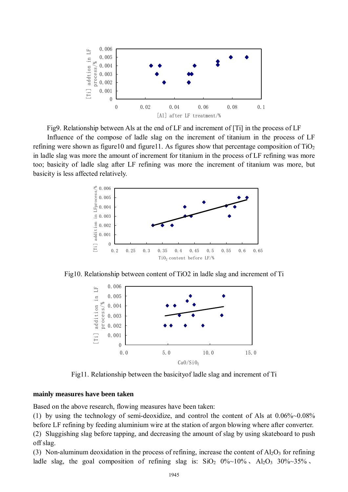

Fig9. Relationship between Als at the end of LF and increment of [Ti] in the process of LF

Influence of the compose of ladle slag on the increment of titanium in the process of LF refining were shown as figure10 and figure11. As figures show that percentage composition of  $TiO<sub>2</sub>$ in ladle slag was more the amount of increment for titanium in the process of LF refining was more too; basicity of ladle slag after LF refining was more the increment of titanium was more, but basicity is less affected relatively.



Fig10. Relationship between content of TiO2 in ladle slag and increment of Ti



Fig11. Relationship between the basicityof ladle slag and increment of Ti

## **mainly measures have been taken**

Based on the above research, flowing measures have been taken:

(1) by using the technology of semi-deoxidize, and control the content of Als at 0.06%~0.08% before LF refining by feeding aluminium wire at the station of argon blowing where after converter. (2) Sluggishing slag before tapping, and decreasing the amount of slag by using skateboard to push off slag.

(3) Non-aluminum deoxidation in the process of refining, increase the content of  $A_1O_3$  for refining ladle slag, the goal composition of refining slag is:  $SiO_2$  0%~10%,  $Al_2O_3$  30%~35%,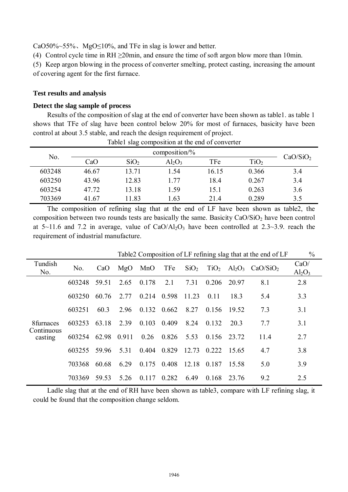CaO50%~55%. MgO $\leq$ 10%, and TFe in slag is lower and better.

(4) Control cycle time in RH  $\geq$ 20min, and ensure the time of soft argon blow more than 10min.

(5) Keep argon blowing in the process of converter smelting, protect casting, increasing the amount of covering agent for the first furnace.

#### **Test results and analysis**

#### **Detect the slag sample of process**

Results of the composition of slag at the end of converter have been shown as table1. as table 1 shows that TFe of slag have been control below 20% for most of furnaces, basicity have been control at about 3.5 stable, and reach the design requirement of project.

| Table 1 slag composition at the end of converter |       |                  |           |       |                  |                      |
|--------------------------------------------------|-------|------------------|-----------|-------|------------------|----------------------|
| No.                                              |       |                  |           |       |                  |                      |
|                                                  | CaO   | SiO <sub>2</sub> | $Al_2O_3$ | TFe   | TiO <sub>2</sub> | CaO/SiO <sub>2</sub> |
| 603248                                           | 46.67 | 13.71            | 1.54      | 16.15 | 0.366            | 3.4                  |
| 603250                                           | 43.96 | 12.83            | 1.77      | 18.4  | 0.267            | 3.4                  |
| 603254                                           | 47.72 | 13.18            | 1.59      | 15.1  | 0.263            | 3.6                  |
| 703369                                           | 41.67 | 11.83            | 1.63      | 21.4  | 0.289            | 3.5                  |

The composition of refining slag that at the end of LF have been shown as table2, the composition between two rounds tests are basically the same. Basicity  $CaO/SiO<sub>2</sub>$  have been control at  $5{\sim}11.6$  and 7.2 in average, value of CaO/Al<sub>2</sub>O<sub>3</sub> have been controlled at 2.3~3.9. reach the requirement of industrial manufacture.

|                                    | Table 2 Composition of LF refining slag that at the end of LF |       |       |       |       |                  |             | $\frac{0}{0}$ |                                                            |                   |
|------------------------------------|---------------------------------------------------------------|-------|-------|-------|-------|------------------|-------------|---------------|------------------------------------------------------------|-------------------|
| Tundish<br>No.                     | No.                                                           | CaO   | MgO   | MnO   | TFe   | SiO <sub>2</sub> |             |               | $TiO2$ Al <sub>2</sub> O <sub>3</sub> CaO/SiO <sub>2</sub> | CaO/<br>$Al_2O_3$ |
| 8furnaces<br>Continuous<br>casting | 603248                                                        | 59.51 | 2.65  | 0.178 | 2.1   | 7.31             | 0.206       | 20.97         | 8.1                                                        | 2.8               |
|                                    | 603250                                                        | 60.76 | 2.77  | 0.214 | 0.598 | 11 23            | 0.11        | 18.3          | 5.4                                                        | 3.3               |
|                                    | 603251                                                        | 60.3  | 2.96  | 0.132 | 0.662 | 8.27             | 0.156       | 19.52         | 7.3                                                        | 3.1               |
|                                    | 603253                                                        | 63.18 | 2.39  | 0.103 | 0.409 | 8.24             | 0.132       | 20 3          | 7.7                                                        | 3.1               |
|                                    | 603254                                                        | 62.98 | 0.911 | 0.26  | 0.826 | 5.53             | 0.156 23.72 |               | 11.4                                                       | 2.7               |
|                                    | 603255                                                        | 59.96 | 5.31  | 0.404 | 0.829 | 12.73            | 0.222       | -15.65        | 4.7                                                        | 3.8               |
|                                    | 703368                                                        | 60.68 | 6.29  | 0.175 | 0.408 | 12.18            | 0.187       | 15.58         | 5.0                                                        | 3.9               |
|                                    | 703369                                                        | 59.53 | 5.26  | 0.117 | 0.282 | 649              | 0.168       | 23.76         | 9.2                                                        | 2.5               |

Ladle slag that at the end of RH have been shown as table3, compare with LF refining slag, it could be found that the composition change seldom.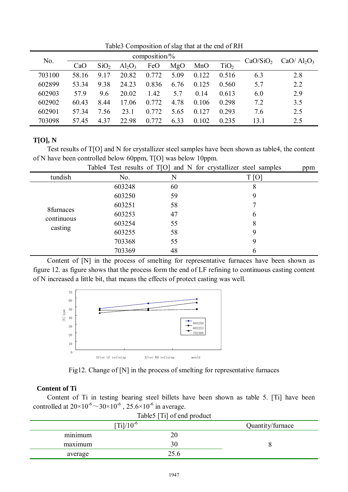| No.    | composition/% |                  |           |       |      |       |                  |                      | $CaO/Al_2O_3$ |
|--------|---------------|------------------|-----------|-------|------|-------|------------------|----------------------|---------------|
|        | CaO           | SiO <sub>2</sub> | $Al_2O_3$ | FeO   | MgO  | MnO   | TiO <sub>2</sub> | CaO/SiO <sub>2</sub> |               |
| 703100 | 58.16         | 9 1 7            | 20.82     | 0.772 | 5.09 | 0.122 | 0.516            | 6.3                  | 2.8           |
| 602899 | 53 34         | 9.38             | 24.23     | 0.836 | 6.76 | 0.125 | 0.560            | 5.7                  | 2.2           |
| 602903 | 57.9          | 9.6              | 20.02     | 1.42  | 5.7  | 0.14  | 0.613            | 6.0                  | 2.9           |
| 602902 | 60.43         | 8.44             | 17.06     | 0.772 | 4.78 | 0.106 | 0.298            | 7.2                  | 3.5           |
| 602901 | 57 34         | 7.56             | 23.1      | 0.772 | 5.65 | 0.127 | 0.293            | 7.6                  | 2.5           |
| 703098 | 5745          | 4 3 7            | 22.98     | 0.772 | 6.33 | 0.102 | 0.235            | 13.1                 | 2.5           |

Table3 Composition of slag that at the end of RH

## **T[O], N**

Test results of T[O] and N for crystallizer steel samples have been shown as table4, the content of N have been controlled below 60ppm, T[O] was below 10ppm.

|            |        |    | Table4 Test results of T[O] and N for crystallizer steel samples | ppm |
|------------|--------|----|------------------------------------------------------------------|-----|
| tundish    | No.    | N  | T[O]                                                             |     |
|            | 603248 | 60 | 8                                                                |     |
|            | 603250 | 59 | 9                                                                |     |
|            | 603251 | 58 |                                                                  |     |
| 8furnaces  | 603253 | 47 | 6                                                                |     |
| continuous | 603254 | 55 | 8                                                                |     |
| casting    | 603255 | 58 | 9                                                                |     |
|            | 703368 | 55 | 9                                                                |     |
|            | 703369 | 48 | O                                                                |     |

Content of [N] in the process of smelting for representative furnaces have been shown as figure 12. as figure shows that the process form the end of LF refining to continuous casting content of N increased a little bit, that means the effects of protect casting was well.



Fig12. Change of [N] in the process of smelting for representative furnaces

# **Content of Ti**

Content of Ti in testing bearing steel billets have been shown as table 5. [Ti] have been controlled at  $20 \times 10^{-6} \sim 30 \times 10^{-6}$ ,  $25.6 \times 10^{-6}$  in average. Table5 [Ti] of end product

| $1401Q$   $11$   01 01 $Q$ uluit<br>$[Ti]/10^{-6}$<br>Quantity/furnace |      |  |  |  |  |  |
|------------------------------------------------------------------------|------|--|--|--|--|--|
|                                                                        |      |  |  |  |  |  |
| $\cdot$ $\cdot$<br>minimum                                             | 20   |  |  |  |  |  |
| maximum                                                                | 30   |  |  |  |  |  |
| average                                                                | 25.6 |  |  |  |  |  |